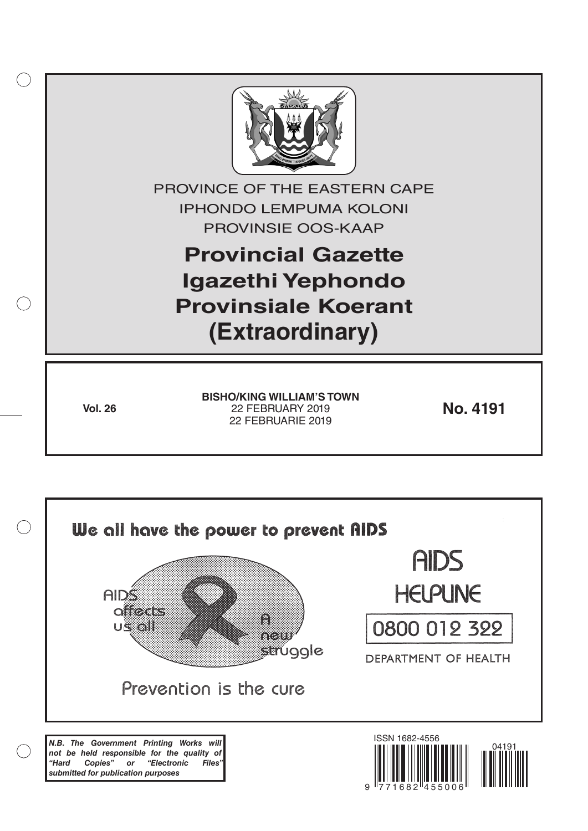

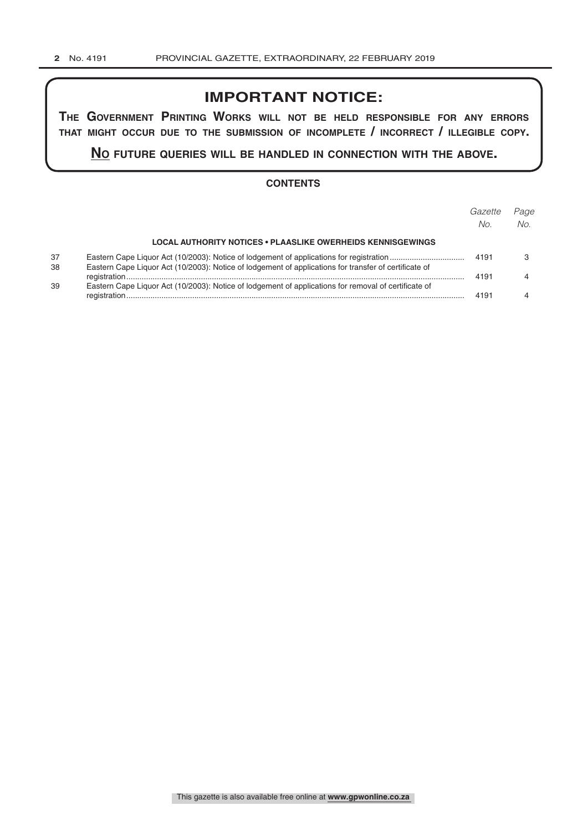## **IMPORTANT NOTICE:**

**The GovernmenT PrinTinG Works Will noT be held resPonsible for any errors ThaT miGhT occur due To The submission of incomPleTe / incorrecT / illeGible coPy.**

**no fuTure queries Will be handled in connecTion WiTh The above.**

### **CONTENTS**

|          |                                                                                                       | Gazette<br>No | Paae<br>No. |
|----------|-------------------------------------------------------------------------------------------------------|---------------|-------------|
|          | <b>LOCAL AUTHORITY NOTICES • PLAASLIKE OWERHEIDS KENNISGEWINGS</b>                                    |               |             |
| 37<br>38 | Eastern Cape Liquor Act (10/2003): Notice of lodgement of applications for transfer of certificate of | 4191          | з           |
|          |                                                                                                       | 4191          |             |
| 39       | Eastern Cape Liquor Act (10/2003): Notice of lodgement of applications for removal of certificate of  | 4191          |             |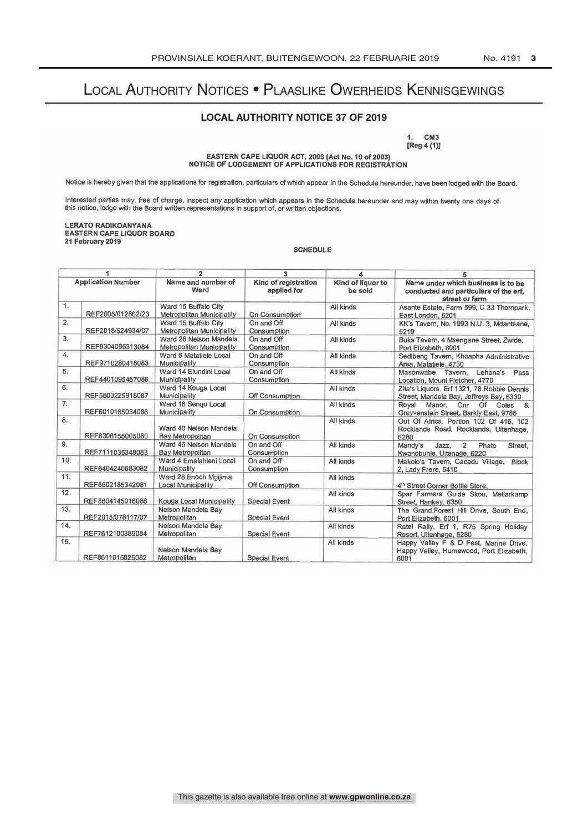# Local Authority Notices • Plaaslike Owerheids Kennisgewings

#### **LOCAL AUTHORITY NOTICE 37 OF 2019**

1. CM3 [Reg 4 (1)]

EASTERN CAPE LIQUOR ACT, 2003 (Act No. 10 of 2003) NOTICE OF LODGEMENT OF APPLICATIONS FOR REGISTRATION

Notice is hereby given that the applications for registration, particulars of which appear in the Schedule hereunder, have been lodged with the Board.

Interested parties may, free of charge, inspect any application which appears in the Schedule hereunder and may within twenty one days of this notice, lodge with the Board written representations in support of, or written objections.

LERATO RADIKOANYANA EASTERN CAPE LIQUOR BOARD 21 February 2019

**SCHEDULE** 

| <b>Application Number</b> |                   | $\overline{2}$                                      | 3                                   | 4                            | 5<br>Name under which business is to be<br>conducted and particulars of the erf.<br>street or farm |  |
|---------------------------|-------------------|-----------------------------------------------------|-------------------------------------|------------------------------|----------------------------------------------------------------------------------------------------|--|
|                           |                   | Name and number of<br>Ward                          | Kind of registration<br>applied for | Kind of liquor to<br>be sold |                                                                                                    |  |
| 1.1                       | REF2005/012862/23 | Ward 15 Buffalo City<br>Metropolitan Municipality   | On Consumption                      | All kinds                    | Asante Estate, Farm 599, C 33 Thompark.<br>East London, 5201                                       |  |
| 2.                        | REF2018/524934/07 | Ward 15 Buffalo City<br>Metropolitan Municipality   | On and Off<br><b>Consumption</b>    | All kinds                    | KK's Tavern, No. 1993 N.U. 3. Mdantsane.<br>5219                                                   |  |
| 3.                        | REF8304095313084  | Ward 28 Nelson Mandela<br>Metropolitan Municipality | On and Off<br>Consumption           | All kinds                    | Buks Tavern, 4 Msengane Street, Zwide,<br>Port Elizabeth, 6001                                     |  |
| 4.                        | REF9710280418083  | Ward 6 Matatiele Local<br>Municipality              | On and Off<br>Consumption           | All kinds                    | Sedibeng Tavern, Khoapha Administrative<br>Area, Matatiele, 4730                                   |  |
| 5.                        | REF4401095467086  | Ward 14 Elundini Local<br>Municipality              | On and Off<br>Consumption           | All kinds                    | Masonwabe Tavern,<br>Lehana's<br>Pass<br>Location, Mount Fletcher, 4770                            |  |
| 6.                        | REF5803225918087  | Ward 14 Kouga Local<br>Municipality                 | Off Consumption                     | All kinds                    | Zita's Liquors, Erf 1321, 78 Robbie Dennis<br>Street, Mandela Bay, Jeffreys Bay, 6330              |  |
| 7.                        | REF6010165034086  | Ward 16 Sengu Local<br>Municipality                 | On Consumption                      | All kinds                    | Manor, Cnr Of Coles<br>Roval<br>&<br>Greyvenstein Street, Barkly East, 9786                        |  |
| 8.                        | REF6306155005080  | Ward 40 Nelson Mandela<br><b>Bay Metropolitan</b>   | On Consumption                      | All kinds                    | Out Of Africa, Portion 102 Of 416, 102<br>Rocklands Road, Rocklands, Uitenhage.<br>6280            |  |
| 9.                        | REF7111035348083  | Ward 46 Nelson Mandela<br><b>Bay Metropolitan</b>   | On and Off<br>Consumption           | All kinds                    | $\overline{2}$<br>Mandy's<br>Jazz,<br>Phato<br>Street.<br>Kwanobuhle, Uitenage, 6220               |  |
| 10.                       | REF8404240683082  | Ward 4 Emalahleni Local<br>Municipality             | On and Off<br>Consumption           | All kinds                    | Makolo's Tavern, Cacadu Village, Block<br>2, Lady Frere, 5410                                      |  |
| 11.                       | REF8602185342081  | Ward 28 Enoch Mgijima<br><b>Local Municipality</b>  | Off Consumption                     | All kinds                    | 4 <sup>th</sup> Street Corner Bottle Store.                                                        |  |
| 12.                       | REF8604145016086  | Kouga Local Municipality                            | <b>Special Event</b>                | All kinds                    | Spar Farmers Guide Skou, Metlarkamp<br>Street, Hankey, 6350                                        |  |
| 13.                       | REF2015/078117/07 | Nelson Mandela Bay<br>Metropolitan                  | <b>Special Event</b>                | All kinds                    | The Grand, Forest Hill Drive, South End,<br>Port Elizabeth, 6001                                   |  |
| 14.                       | REF7612100389084  | Nelson Mandela Bay<br>Metropolitan                  | <b>Special Event</b>                | All kinds                    | Ratel Rally, Erf 1, R75 Spring Holiday<br>Resort, Uitenhage, 6280                                  |  |
| 15.                       | REF8611015825082  | Nelson Mandela Bay<br>Metropolitan                  | <b>Special Event</b>                | All kinds                    | Happy Valley F & D Fest, Marine Drive,<br>Happy Valley, Humewood, Port Elizabeth.<br>6001          |  |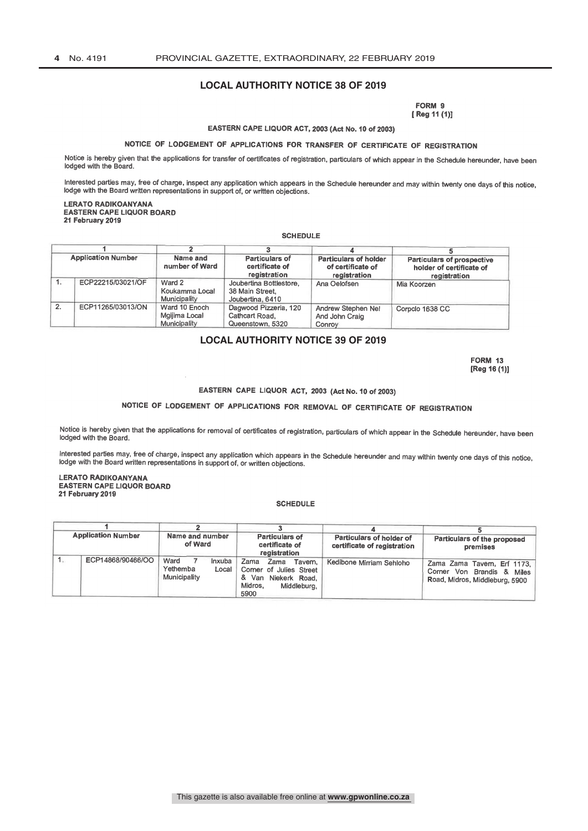#### **LOCAL AUTHORITY NOTICE 38 OF 2019**

FORM 9 [ Reg 11 (1)]

## EASTERN CAPE LIQUOR ACT, 2003 (Act No. 10 of 2003)

### NOTICE OF LODGEMENT OF APPLICATIONS FOR TRANSFER OF CERTIFICATE OF REGISTRATION

Notice is hereby given that the applications for transfer of certificates of registration, particulars of which appear in the Schedule hereunder, have been lodged with the Board.

Interested parties may, free of charge, inspect any application which appears in the Schedule hereunder and may within twenty one days of this notice, lodge with the Board written representations in support of, or written objections.

LERATO RADIKOANYANA EASTERN CAPE LIQUOR BOARD 21 February 2019

**SCHEDULE** 

| <b>Application Number</b> |                   |                                                |                                                                |                                                                   | <b>Particulars of prospective</b><br>holder of certificate of<br>registration |  |
|---------------------------|-------------------|------------------------------------------------|----------------------------------------------------------------|-------------------------------------------------------------------|-------------------------------------------------------------------------------|--|
|                           |                   | Name and<br>number of Ward                     | Particulars of<br>certificate of<br>registration               | <b>Particulars of holder</b><br>of certificate of<br>registration |                                                                               |  |
|                           | ECP22215/03021/OF | Ward 2<br>Koukamma Local<br>Municipality       | Joubertina Bottlestore,<br>38 Main Street,<br>Joubertina, 6410 | Ana Oelofsen                                                      | Mia Koorzen                                                                   |  |
| 2.                        | ECP11265/03013/ON | Ward 10 Enoch<br>Mgijima Local<br>Municipality | Dagwood Pizzeria, 120<br>Cathcart Road,<br>Queenstown, 5320    | Andrew Stephen Nel<br>And John Craig<br>Conroy                    | Corpcio 1638 CC                                                               |  |

#### **LOCAL AUTHORITY NOTICE 39 OF 2019**

**FORM 13** [Reg 16 (1)]

EASTERN CAPE LIQUOR ACT, 2003 (Act No. 10 of 2003)

NOTICE OF LODGEMENT OF APPLICATIONS FOR REMOVAL OF CERTIFICATE OF REGISTRATION

Notice is hereby given that the applications for removal of certificates of registration, particulars of which appear in the Schedule hereunder, have been<br>lodged with the Board.

Interested parties may, free of charge, inspect any application which appears in the Schedule hereunderand may within twenty one days of this notice, lodge with the Board written representations in support of, or written objections.

LERATO RADIKOANYANA EASTERN CAPE LIQUOR BOARD 21 February 2019

#### **SCHEDULE**

| <b>Application Number</b> |                   | Name and number<br>of Ward       |                 | <b>Particulars of</b><br>certificate of<br>registration |      |                                                                       |                                                         | Particulars of the proposed<br>premises                                                    |  |
|---------------------------|-------------------|----------------------------------|-----------------|---------------------------------------------------------|------|-----------------------------------------------------------------------|---------------------------------------------------------|--------------------------------------------------------------------------------------------|--|
|                           |                   |                                  |                 |                                                         |      |                                                                       | Particulars of holder of<br>certificate of registration |                                                                                            |  |
|                           | ECP14868/90466/OO | Ward<br>Yethemba<br>Municipality | Inxuba<br>Local | Zama<br>&<br>Midros.<br>5900                            | Zama | Tavem.<br>Corner of Julies Street<br>Van Niekerk Road.<br>Middleburg, | Kedibone Mirriam Sehloho                                | Zama Zama Tavem, Erf 1173.<br>Corner Von Brandis & Miles<br>Road, Midros, Middleburg, 5900 |  |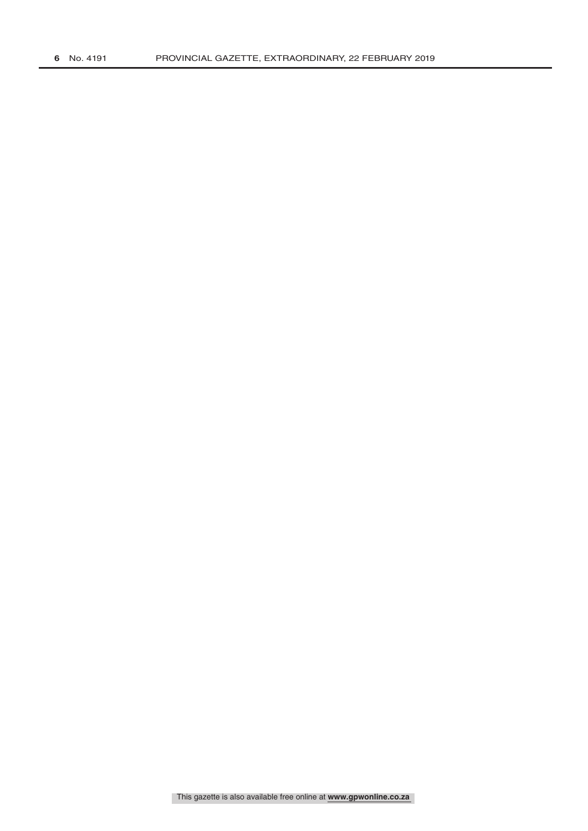This gazette is also available free online at **www.gpwonline.co.za**